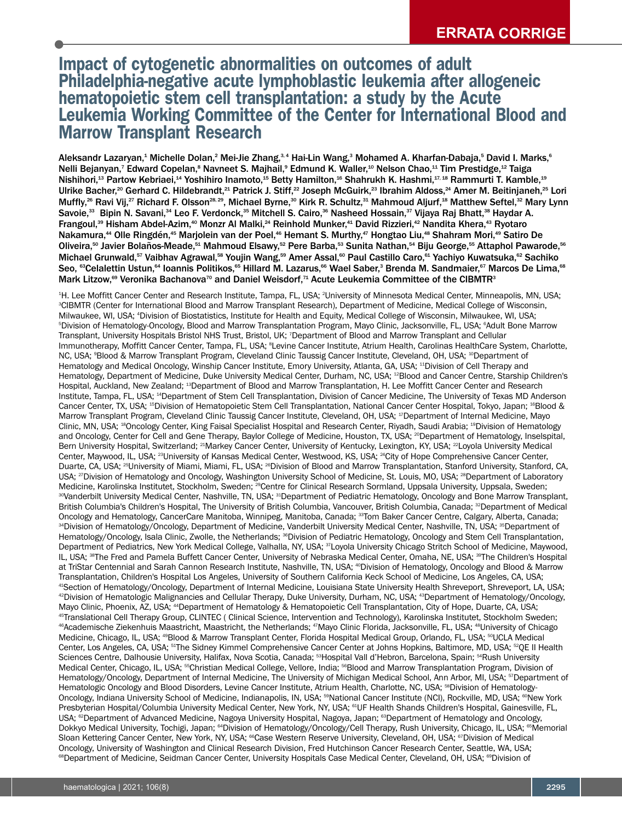# **Impact of cytogenetic abnormalities on outcomes of adult Philadelphia-negative acute lymphoblastic leukemia after allogeneic hematopoietic stem cell transplantation: a study by the Acute Leukemia Working Committee of the Center for International Blood and Marrow Transplant Research**

Aleksandr Lazaryan, $^1$  Michelle Dolan, $^2$  Mei-Jie Zhang, $^3$ 4 Hai-Lin Wang, $^3$  Mohamed A. Kharfan-Dabaja, $^5$  David I. Marks, $^6$ Nelli Bejanyan,<sup>7</sup> Edward Copelan,<sup>8</sup> Navneet S. Majhail,<sup>9</sup> Edmund K. Waller,<sup>10</sup> Nelson Chao,<sup>11</sup> Tim Prestidge,<sup>12</sup> Taiga Nishihori, $^{13}$  Partow Kebriaei, $^{14}$  Yoshihiro Inamoto, $^{15}$  Betty Hamilton, $^{16}$  Shahrukh K. Hashmi, $^{17,18}$  Rammurti T. Kamble, $^{19}$ Ulrike Bacher, $^{20}$  Gerhard C. Hildebrandt, $^{21}$  Patrick J. Stiff, $^{22}$  Joseph McGuirk, $^{23}$  Ibrahim Aldoss, $^{24}$  Amer M. Beitinjaneh, $^{25}$  Lori Muffly, $^{26}$  Ravi Vij, $^{27}$  Richard F. Olsson $^{28,29}$ , Michael Byrne, $^{30}$  Kirk R. Schultz, $^{31}$  Mahmoud Aljurf, $^{18}$  Matthew Seftel, $^{32}$  Mary Lynn Savoie, $^{\rm 33}$  Bipin N. Savani, $^{\rm 34}$  Leo F. Verdonck, $^{\rm 35}$  Mitchell S. Cairo, $^{\rm 36}$  Nasheed Hossain, $^{\rm 37}$  Vijaya Raj Bhatt, $^{\rm 38}$  Haydar A. Frangoul, $^{\rm 39}$  Hisham Abdel-Azim, $^{\rm 40}$  Monzr Al Malki, $^{\rm 24}$  Reinhold Munker, $^{\rm 44}$  David Rizzieri, $^{\rm 42}$  Nandita Khera, $^{\rm 43}$  Ryotaro Nakamura,<sup>44</sup> Olle Ringdén,<sup>45</sup> Marjolein van der Poel,<sup>46</sup> Hemant S. Murthy,<sup>47</sup> Hongtao Liu,<sup>48</sup> Shahram Mori,<sup>49</sup> Satiro De Oliveira,<sup>so</sup> Javier Bolaños-Meade,<sup>sı</sup> Mahmoud Elsawy,<sup>s2</sup> Pere Barba,<sup>s3</sup> Sunita Nathan,<sup>s4</sup> Biju George,<sup>ss</sup> Attaphol Pawarode,<sup>ss</sup> Michael Grunwald,<sup>sr</sup> Vaibhav Agrawal,<sup>ss</sup> Youjin Wang,<sup>s9</sup> Amer Assal,<sup>∞</sup> Paul Castillo Caro,<sup>s⊥</sup> Yachiyo Kuwatsuka,<sup>s2</sup> Sachiko Seo, <sup>sa</sup>Celalettin Ustun,<sup>s4</sup> Ioannis Politikos,<sup>ss</sup> Hillard M. Lazarus,<sup>ss</sup> Wael Saber,<sup>3</sup> Brenda M. Sandmaier,<sup>s7</sup> Marcos De Lima,<sup>ss</sup> Mark Litzow,® Veronika Bachanova™ and Daniel Weisdorf,™ Acute Leukemia Committee of the CIBMTR $^{\rm 3}$ 

1 H. Lee Moffitt Cancer Center and Research Institute, Tampa, FL, USA; <sup>2</sup> University of Minnesota Medical Center, Minneapolis, MN, USA; 3 CIBMTR (Center for International Blood and Marrow Transplant Research), Department of Medicine, Medical College of Wisconsin, Milwaukee, WI, USA; <sup>4</sup> Division of Biostatistics, Institute for Health and Equity, Medical College of Wisconsin, Milwaukee, WI, USA; 5 Division of Hematology-Oncology, Blood and Marrow Transplantation Program, Mayo Clinic, Jacksonville, FL, USA; <sup>6</sup> Adult Bone Marrow Transplant, University Hospitals Bristol NHS Trust, Bristol, UK; <sup>7</sup> Department of Blood and Marrow Transplant and Cellular lmmunotherapy, Moffitt Cancer Center, Tampa, FL, USA; <sup>s</sup>Levine Cancer Institute, Atrium Health, Carolinas HealthCare System, Charlotte, NC, USA; <sup>s</sup>Blood & Marrow Transplant Program, Cleveland Clinic Taussig Cancer Institute, Cleveland, OH, USA; <sup>10</sup>Department of Hematology and Medical Oncology, Winship Cancer Institute, Emory University, Atlanta, GA, USA; <sup>11</sup> Division of Cell Therapy and Hematology, Department of Medicine, Duke University Medical Center, Durham, NC, USA; <sup>12</sup> Blood and Cancer Centre, Starship Children's Hospital, Auckland, New Zealand; <sup>13</sup>Department of Blood and Marrow Transplantation, H. Lee Moffitt Cancer Center and Research Institute, Tampa, FL, USA; <sup>14</sup>Department of Stem Cell Transplantation, Division of Cancer Medicine, The University of Texas MD Anderson Cancer Center, TX, USA; <sup>15</sup>Division of Hematopoietic Stem Cell Transplantation, National Cancer Center Hospital, Tokyo, Japan; <sup>16</sup>Blood & Marrow Transplant Program, Cleveland Clinic Taussig Cancer Institute, Cleveland, OH, USA; 17Department of Internal Medicine, Mayo Clinic, MN, USA; <sup>18</sup>Oncology Center, King Faisal Specialist Hospital and Research Center, Riyadh, Saudi Arabia; <sup>19</sup>Division of Hematology and Oncology, Center for Cell and Gene Therapy, Baylor College of Medicine, Houston, TX, USA; <sup>20</sup> Department of Hematology, Inselspital, Bern University Hospital, Switzerland; <sup>21</sup>Markey Cancer Center, University of Kentucky, Lexington, KY, USA; <sup>22</sup>Loyola University Medical Center, Maywood, IL, USA; <sup>23</sup>University of Kansas Medical Center, Westwood, KS, USA; <sup>24</sup>City of Hope Comprehensive Cancer Center, Duarte, CA, USA; <sup>25</sup>University of Miami, Miami, FL, USA; <sup>26</sup>Division of Blood and Marrow Transplantation, Stanford University, Stanford, CA, USA; <sup>27</sup>Division of Hematology and Oncology, Washington University School of Medicine, St. Louis, MO, USA; <sup>28</sup>Department of Laboratory Medicine, Karolinska Institutet, Stockholm, Sweden; <sup>29</sup>Centre for Clinical Research Sormland, Uppsala University, Uppsala, Sweden; <sup>30</sup>Vanderbilt University Medical Center, Nashville, TN, USA; <sup>31</sup>Department of Pediatric Hematology, Oncology and Bone Marrow Transplant, British Columbia's Children's Hospital, The University of British Columbia, Vancouver, British Columbia, Canada; <sup>32</sup>Department of Medical Oncology and Hematology, CancerCare Manitoba, Winnipeg, Manitoba, Canada; <sup>33</sup>Tom Baker Cancer Centre, Calgary, Alberta, Canada; <sup>34</sup>Division of Hematology/Oncology, Department of Medicine, Vanderbilt University Medical Center, Nashville, TN, USA; <sup>35</sup>Department of Hematology/Oncology, Isala Clinic, Zwolle, the Netherlands; <sup>36</sup>Division of Pediatric Hematology, Oncology and Stem Cell Transplantation, Department of Pediatrics, New York Medical College, Valhalla, NY, USA; <sup>37</sup>Loyola University Chicago Stritch School of Medicine, Maywood, IL, USA; <sup>sa</sup>The Fred and Pamela Buffett Cancer Center, University of Nebraska Medical Center, Omaha, NE, USA; <sup>sa</sup>The Children's Hospital at TriStar Centennial and Sarah Cannon Research Institute, Nashville, TN, USA; <sup>40</sup>Division of Hematology, Oncology and Blood & Marrow Transplantation, Children's Hospital Los Angeles, University of Southern California Keck School of Medicine, Los Angeles, CA, USA; 41 Section of Hematology/Oncology, Department of Internal Medicine, Louisiana State University Health Shreveport, Shreveport, LA, USA; 42 Division of Hematologic Malignancies and Cellular Therapy, Duke University, Durham, NC, USA; <sup>43</sup> Department of Hematology/Oncology, Mayo Clinic, Phoenix, AZ, USA; <sup>44</sup>Department of Hematology & Hematopoietic Cell Transplantation, City of Hope, Duarte, CA, USA; 45 Translational Cell Therapy Group, CLINTEC ( Clinical Science, Intervention and Technology), Karolinska Institutet, Stockholm Sweden; 46 Academische Ziekenhuis Maastricht, Maastricht, the Netherlands; <sup>47</sup> Mayo Clinic Florida, Jacksonville, FL, USA; <sup>48</sup> University of Chicago Medicine, Chicago, IL, USA; <sup>as</sup>Blood & Marrow Transplant Center, Florida Hospital Medical Group, Orlando, FL, USA; <sup>so</sup>UCLA Medical Center, Los Angeles, CA, USA; 51The Sidney Kimmel Comprehensive Cancer Center at Johns Hopkins, Baltimore, MD, USA; 52QE II Health Sciences Centre, Dalhousie University, Halifax, Nova Scotia, Canada; <sup>ss</sup>Hospital Vall d'Hebron, Barcelona, Spain; <sup>s4</sup>Rush University Medical Center, Chicago, IL, USA; <sup>55</sup>Christian Medical College, Vellore, India; <sup>56</sup>Blood and Marrow Transplantation Program, Division of Hematology/Oncology, Department of Internal Medicine, The University of Michigan Medical School, Ann Arbor, MI, USA; <sup>57</sup>Department of Hematologic Oncology and Blood Disorders, Levine Cancer Institute, Atrium Health, Charlotte, NC, USA; <sup>sa</sup>Division of Hematology-Oncology, Indiana University School of Medicine, Indianapolis, IN, USA; 5ºNational Cancer Institute (NCI), Rockville, MD, USA; ©New York Presbyterian Hospital/Columbia University Medical Center, New York, NY, USA; <sup>61</sup>UF Health Shands Children's Hospital, Gainesville, FL, USA; <sup>ez</sup>Department of Advanced Medicine, Nagoya University Hospital, Nagoya, Japan; <sup>es</sup>Department of Hematology and Oncology, Dokkyo Medical University, Tochigi, Japan; <sup>64</sup>Division of Hematology/Oncology/Cell Therapy, Rush University, Chicago, IL, USA; <sup>65</sup>Memorial Sloan Kettering Cancer Center, New York, NY, USA; <sup>es</sup>Case Western Reserve University, Cleveland, OH, USA; <sup>er</sup>Division of Medical Oncology, University of Washington and Clinical Research Division, Fred Hutchinson Cancer Research Center, Seattle, WA, USA; <sup>േ</sup>Department of Medicine, Seidman Cancer Center, University Hospitals Case Medical Center, Cleveland, OH, USA; <sup>ോ</sup>Division of